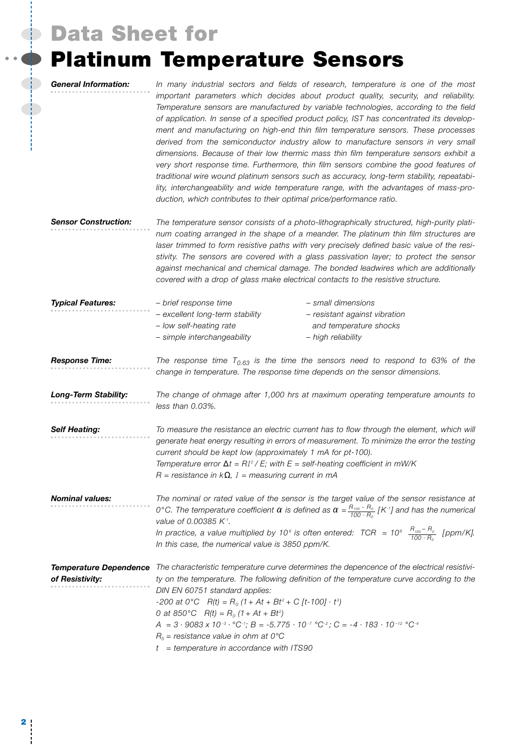### **Data Sheet for**

 $\begin{array}{c} \bullet \\ \bullet \end{array}$ 

 $\frac{1}{2}$ 

# **Platinum Temperature Sensors**

| <b>General Information:</b>                      | In many industrial sectors and fields of research, temperature is one of the most<br>important parameters which decides about product quality, security, and reliability.<br>Temperature sensors are manufactured by variable technologies, according to the field<br>of application. In sense of a specified product policy, IST has concentrated its develop-<br>ment and manufacturing on high-end thin film temperature sensors. These processes<br>derived from the semiconductor industry allow to manufacture sensors in very small<br>dimensions. Because of their low thermic mass thin film temperature sensors exhibit a<br>very short response time. Furthermore, thin film sensors combine the good features of<br>traditional wire wound platinum sensors such as accuracy, long-term stability, repeatabi-<br>lity, interchangeability and wide temperature range, with the advantages of mass-pro-<br>duction, which contributes to their optimal price/performance ratio. |
|--------------------------------------------------|--------------------------------------------------------------------------------------------------------------------------------------------------------------------------------------------------------------------------------------------------------------------------------------------------------------------------------------------------------------------------------------------------------------------------------------------------------------------------------------------------------------------------------------------------------------------------------------------------------------------------------------------------------------------------------------------------------------------------------------------------------------------------------------------------------------------------------------------------------------------------------------------------------------------------------------------------------------------------------------------|
| <b>Sensor Construction:</b>                      | The temperature sensor consists of a photo-lithographically structured, high-purity plati-<br>num coating arranged in the shape of a meander. The platinum thin film structures are<br>laser trimmed to form resistive paths with very precisely defined basic value of the resi-<br>stivity. The sensors are covered with a glass passivation layer; to protect the sensor<br>against mechanical and chemical damage. The bonded leadwires which are additionally<br>covered with a drop of glass make electrical contacts to the resistive structure.                                                                                                                                                                                                                                                                                                                                                                                                                                    |
| <b>Typical Features:</b>                         | - small dimensions<br>- brief response time<br>- excellent long-term stability<br>- resistant against vibration<br>- low self-heating rate<br>and temperature shocks<br>- simple interchangeability<br>- high reliability                                                                                                                                                                                                                                                                                                                                                                                                                                                                                                                                                                                                                                                                                                                                                                  |
| <b>Response Time:</b>                            | The response time $T_{0.63}$ is the time the sensors need to respond to 63% of the<br>change in temperature. The response time depends on the sensor dimensions.                                                                                                                                                                                                                                                                                                                                                                                                                                                                                                                                                                                                                                                                                                                                                                                                                           |
| <b>Long-Term Stability:</b>                      | The change of ohmage after 1,000 hrs at maximum operating temperature amounts to<br>less than 0.03%.                                                                                                                                                                                                                                                                                                                                                                                                                                                                                                                                                                                                                                                                                                                                                                                                                                                                                       |
| <b>Self Heating:</b>                             | To measure the resistance an electric current has to flow through the element, which will<br>generate heat energy resulting in errors of measurement. To minimize the error the testing<br>current should be kept low (approximately 1 mA for pt-100).<br>Temperature error $\Delta t = RI^2 / E$ ; with E = self-heating coefficient in mW/K<br>$R =$ resistance in $k\Omega$ , $I =$ measuring current in mA                                                                                                                                                                                                                                                                                                                                                                                                                                                                                                                                                                             |
| <b>Nominal values:</b>                           | The nominal or rated value of the sensor is the target value of the sensor resistance at<br>0°C. The temperature coefficient $\alpha$ is defined as $\alpha = \frac{R_{100} - R_0}{100 \cdot R_0}$ [K·1] and has the numerical<br>value of 0.00385 K-1.<br>In practice, a value multiplied by 10 <sup>6</sup> is often entered: TCR = 10 <sup>6</sup> $\frac{H_{100}-H_0}{100 \cdot R_0}$ [ppm/K].<br>In this case, the numerical value is 3850 ppm/K.                                                                                                                                                                                                                                                                                                                                                                                                                                                                                                                                     |
| <b>Temperature Dependence</b><br>of Resistivity: | The characteristic temperature curve determines the depencence of the electrical resistivi-<br>ty on the temperature. The following definition of the temperature curve according to the<br>DIN EN 60751 standard applies:<br>-200 at 0°C $R(t) = R_0 (1 + At + Bt^2 + C [t-100] \cdot t^3)$<br>0 at 850°C $R(t) = R_0 (1 + At + Bt^2)$<br>$A = 3 \cdot 9083 \times 10^{-3} \cdot {}^{\circ}C^{-1}$ ; $B = -5.775 \cdot 10^{-7} {}^{\circ}C^{-2}$ ; $C = -4 \cdot 183 \cdot 10^{-12} {}^{\circ}C^{-4}$<br>$R_0$ = resistance value in ohm at 0°C<br>$t = temperature$ in accordance with ITS90                                                                                                                                                                                                                                                                                                                                                                                             |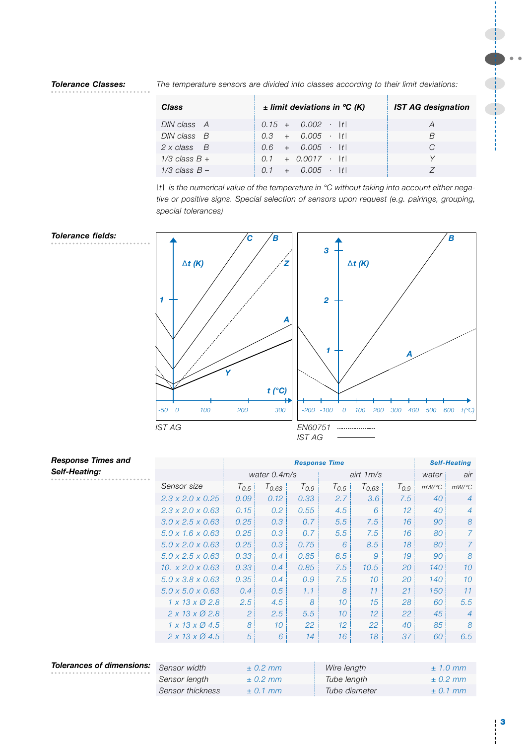#### *The temperature sensors are divided into classes according to their limit deviations: Tolerance Classes:*

| <b>Class</b>         | $\pm$ limit deviations in °C (K) | <b>IST AG designation</b> |
|----------------------|----------------------------------|---------------------------|
| DIN class A          | $0.15 + 0.002 \cdot  t $         | A                         |
| $DIN$ class $B$      | $0.3 + 0.005 \cdot  t $          | R                         |
| $2 \times$ class $B$ | $0.6 + 0.005 \cdot  t $          |                           |
| $1/3$ class $B +$    | $0.1 + 0.0017 \cdot  t $         |                           |
| $1/3$ class $B -$    | $0.1 + 0.005 \cdot  t $          |                           |

*|t| is the numerical value of the temperature in °C without taking into account either negative or positive signs. Special selection of sensors upon request (e.g. pairings, grouping, special tolerances)*



| <b>Response Times and</b>        |                                    |                | <b>Self-Heating</b> |           |                 |             |           |          |                |
|----------------------------------|------------------------------------|----------------|---------------------|-----------|-----------------|-------------|-----------|----------|----------------|
| Self-Heating:                    |                                    |                | water 0.4m/s        |           |                 | airt $1m/s$ | water     | air      |                |
|                                  | Sensor size                        | $T_{0.5}$      | $T_{0.63}$          | $T_{0.9}$ | $T_{0.5}$       | $T_{0.63}$  | $T_{0.9}$ | $mW$ /°C | $mW$ /°C       |
|                                  | $2.3 \times 2.0 \times 0.25$       | 0.09           | 0.12                | 0.33      | 2.7             | 3.6         | 7.5       | 40       | $\overline{4}$ |
|                                  | $2.3 \times 2.0 \times 0.63$       | 0.15           | 0.2                 | 0.55      | 4.5             | 6           | 12        | 40       | 4              |
|                                  | $3.0 \times 2.5 \times 0.63$       | 0.25           | 0.3                 | 0.7       | 5.5             | 7.5         | 16        | 90       | 8              |
|                                  | $5.0 \times 1.6 \times 0.63$       | 0.25           | 0.3                 | 0.7       | 5.5             | 7.5         | 16        | 80       | $\mathcal{I}$  |
|                                  | $5.0 \times 2.0 \times 0.63$       | 0.25           | 0.3                 | 0.75      | 6               | 8.5         | 18        | 80       | $\mathcal{I}$  |
|                                  | $5.0 \times 2.5 \times 0.63$       | 0.33           | 0.4                 | 0.85      | 6.5             | 9           | 19        | 90       | 8              |
|                                  | 10. $x 2.0 x 0.63$                 | 0.33           | 0.4                 | 0.85      | 7.5             | 10.5        | 20        | 140      | 10             |
|                                  | $5.0 \times 3.8 \times 0.63$       | 0.35           | 0.4                 | 0.9       | 7.5             | 10          | 20        | 140      | 10             |
|                                  | $5.0 \times 5.0 \times 0.63$       | 0.4            | 0.5                 | 1.1       | 8               | 11          | 21        | 150      | 11             |
|                                  | $1 \times 13 \times 02.8$          | 2.5            | 4.5                 | 8         | 10              | 15          | 28        | 60       | 5.5            |
|                                  | $2 \times 13 \times 02.8$          | 2              | 2.5<br>8<br>10      |           | 10              | 12          | 22        | 45       | $\overline{4}$ |
|                                  | $1 \times 13 \times \emptyset$ 4.5 |                |                     |           | 12 <sup>°</sup> | 22          | 40        | 85       | 8              |
|                                  | $2 \times 13 \times \emptyset$ 4.5 | $\overline{5}$ | 6                   | 14        | 16              | 18          | 37        | 60       | 6.5            |
|                                  |                                    |                |                     |           |                 |             |           |          |                |
| <b>Tolerances of dimensions:</b> | Sensor width                       | ± 0.2 mm       |                     |           | Wire length     |             |           |          | $± 1.0$ mm     |
|                                  | Sensor length                      |                | ± 0.2 mm            |           | Tube length     |             |           |          | ± 0.2 mm       |

*Sensor thickness ± 0.1 mm Tube diameter ± 0.1 mm*

**3**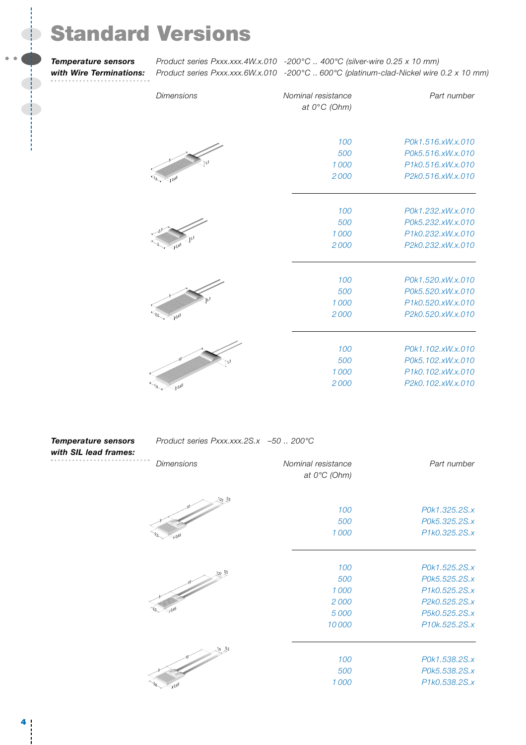# **Standard Versions**

*Temperature sensors with Wire Terminations:*

 $\begin{picture}(20,20) \put(0,0){\line(1,0){10}} \put(15,0){\line(1,0){10}} \put(15,0){\line(1,0){10}} \put(15,0){\line(1,0){10}} \put(15,0){\line(1,0){10}} \put(15,0){\line(1,0){10}} \put(15,0){\line(1,0){10}} \put(15,0){\line(1,0){10}} \put(15,0){\line(1,0){10}} \put(15,0){\line(1,0){10}} \put(15,0){\line(1,0){10}} \put(15,0){\line(1$ 

*Product series Pxxx.xxx.4W.x.010 -200°C .. 400°C (silver-wire 0.25 x 10 mm) Product series Pxxx.xxx.6W.x.010 -200°C .. 600°C (platinum-clad-Nickel wire 0.2 x 10 mm)*

| <b>Dimensions</b>        | Nominal resistance<br>at $0^{\circ}$ C (Ohm) | Part number       |
|--------------------------|----------------------------------------------|-------------------|
|                          | 100                                          | P0k1.516.xW.x.010 |
|                          | 500                                          | P0k5.516.xW.x.010 |
|                          | 1000                                         | P1k0.516.xW.x.010 |
| $\epsilon$ to $\delta^5$ | 2000                                         | P2k0.516.xW.x.010 |
|                          | 100                                          | P0k1.232.xW.x.010 |
|                          | 500                                          | P0k5.232.xW.x.010 |
|                          | 1000                                         | P1k0.232.xW.x.010 |
| $\gamma_0$               | 2000                                         | P2k0.232.xW.x.010 |
|                          | 100                                          | P0k1.520.xW.x.010 |
|                          | 500                                          | P0k5.520.xW.x.010 |
|                          | 1000                                         | P1k0.520.xW.x.010 |
| $10^{65}$                | 2000                                         | P2k0.520.xW.x.010 |
|                          | 100                                          | P0k1.102.xW.x.010 |
|                          | 500                                          | P0k5.102.xW.x.010 |
| 13                       | 1000                                         | P1k0.102.xW.x.010 |
|                          |                                              |                   |
| $4.0^{65}$               | 2000                                         | P2k0.102.xW.x.010 |

| <b>Temperature sensors</b> |  |
|----------------------------|--|
| with SIL lead frames:      |  |

#### *Product series Pxxx.xxx.2S.x –50 .. 200°C*

| Dimensions   | Nominal resistance<br>at $0^{\circ}C$ (Ohm)    | Part number                                                                                        |
|--------------|------------------------------------------------|----------------------------------------------------------------------------------------------------|
| $1.27 - 0.5$ | 100<br>500<br>1000                             | P0k1.325.2S.x<br>P0k5.325.2S.x<br>P1k0.325.2S.x                                                    |
|              | 100<br>500<br>1000<br>2000<br>5 0 0 0<br>10000 | P0k1.525.2S.x<br>P0k5.525.2S.x<br>P1k0.525.2S.x<br>P2k0.525.2S.x<br>P5k0.525.2S.x<br>P10k.525.2S.x |
|              | 100<br>500<br>1000                             | P0k1.538.2S.x<br>P0k5.538.2S.x<br>P1k0.538.2S.x                                                    |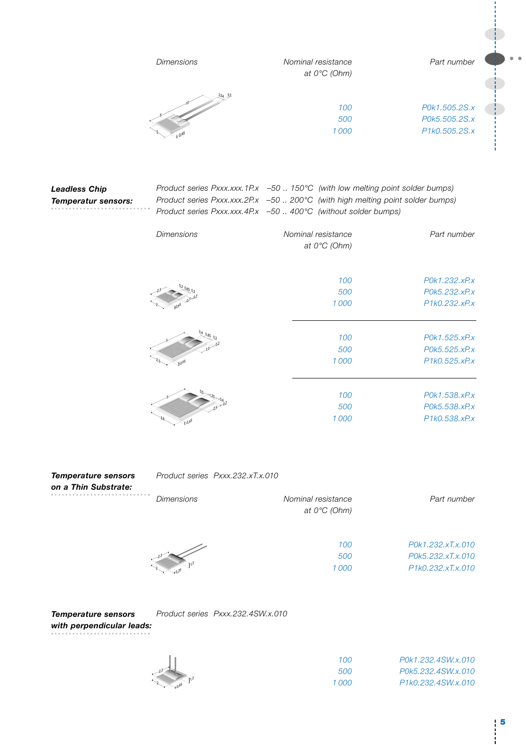|                                                    | <b>Dimensions</b> | Nominal resistance<br>at $0^{\circ}C$ (Ohm)                                                                                                                                                                                                            | Part number                                     |  |
|----------------------------------------------------|-------------------|--------------------------------------------------------------------------------------------------------------------------------------------------------------------------------------------------------------------------------------------------------|-------------------------------------------------|--|
|                                                    |                   | 100<br>500<br>1000                                                                                                                                                                                                                                     | P0k1.505.2S.x<br>P0k5.505.2S.x<br>P1k0.505.2S.x |  |
| <b>Leadless Chip</b><br><b>Temperatur sensors:</b> | <b>Dimensions</b> | Product series Pxxx.xxx.1P.x -50 150°C (with low melting point solder bumps)<br>Product series Pxxx.xxx.2P.x -50  200°C (with high melting point solder bumps)<br>Product series Pxxx.xxx.4P.x -50  400°C (without solder bumps)<br>Nominal resistance | Part number                                     |  |
|                                                    |                   | at $0^{\circ}C$ (Ohm)<br>100<br>500<br>1000                                                                                                                                                                                                            | P0k1.232.xP.x<br>P0k5.232.xP.x<br>P1k0.232.xP.x |  |
|                                                    |                   | 100<br>500<br>1000                                                                                                                                                                                                                                     | P0k1.525.xP.x<br>P0k5.525.xP.x<br>P1k0.525.xP.x |  |
|                                                    |                   | 100<br>500<br>1000                                                                                                                                                                                                                                     | P0k1.538.xP.x<br>P0k5.538.xP.x<br>P1k0.538.xP.x |  |

*Product series Pxxx.232.xT.x.010 Dimensions Nominal resistance Part number at 0°C (Ohm) Temperature sensors on a Thin Substrate:*

> 2,3 1,3 0,25 2

*100 P0k1.232.xT.x.010 500 P0k5.232.xT.x.010 1 000 P1k0.232.xT.x.010*

*Product series Pxxx.232.4SW.x.010 Temperature sensors with perpendicular leads:*

2,3

1,3 0,65

| 100   | P0k1.232.4SW.x.010 |
|-------|--------------------|
| 500   | P0k5.232.4SW.x.010 |
| 1 000 | P1k0.232.4SW.x.010 |

 $\bullet\bullet$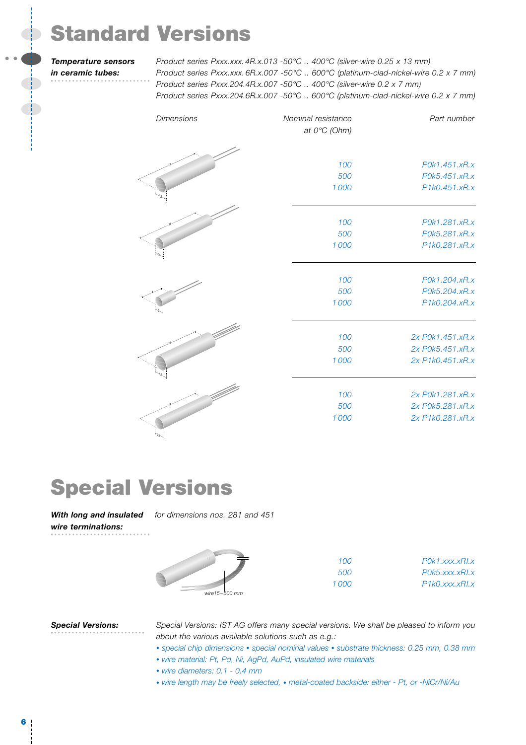# **Standard Versions**

#### *Temperature sensors in ceramic tubes:*

*Product series Pxxx.xxx. 4R.x.013 -50°C .. 400°C (silver-wire 0.25 x 13 mm) Product series Pxxx.xxx. 6R.x.007 -50°C .. 600°C (platinum-clad-nickel-wire 0.2 x 7 mm) Product series Pxxx.204.4R.x.007 -50°C .. 400°C (silver-wire 0.2 x 7 mm) Product series Pxxx.204.6R.x.007 -50°C .. 600°C (platinum-clad-nickel-wire 0.2 x 7 mm)*

| Dimensions | Nominal resistance<br>at $0^{\circ}C$ (Ohm) | Part number      |
|------------|---------------------------------------------|------------------|
|            |                                             |                  |
|            | 100                                         | P0k1.451.xR.x    |
|            | 500                                         | P0k5.451.xR.x    |
|            | 1000                                        | P1k0.451.xR.x    |
|            |                                             |                  |
|            | 100                                         | P0k1.281.xR.x    |
|            | 500                                         | P0k5.281.xR.x    |
|            | 1000                                        | P1k0.281.xR.x    |
|            | 100                                         | P0k1.204.xR.x    |
|            | 500                                         | P0k5.204.xR.x    |
|            | 1000                                        | P1k0.204.xR.x    |
|            | 100                                         | 2x P0k1.451.xR.x |
|            | 500                                         | 2x P0k5.451.xR.x |
|            | 1000                                        | 2x P1k0.451.xR.x |
|            |                                             |                  |
|            | 100                                         | 2x P0k1.281.xR.x |
|            | 500                                         | 2x P0k5.281.xR.x |
|            | 1000                                        | 2x P1k0.281.xR.x |

# **Special Versions**

2,8

With long and insulated for dimensions nos. 281 and 451 *wire terminations:*



*wire15–500 mm*

| 100   | $POK1$ . xxx. xRL x |
|-------|---------------------|
| 500   | POK5.xxxxRIX        |
| 1.000 | P1k0.xxxxRl.x       |

#### *Special Versions:*

*Special Versions: IST AG offers many special versions. We shall be pleased to inform you about the various available solutions such as e.g.:*

- *• special chip dimensions • special nominal values • substrate thickness: 0.25 mm, 0.38 mm*
- *• wire material: Pt, Pd, Ni, AgPd, AuPd, insulated wire materials*
- *• wire diameters: 0.1 0.4 mm*
- *• wire length may be freely selected, • metal-coated backside: either Pt, or -NiCr/Ni/Au*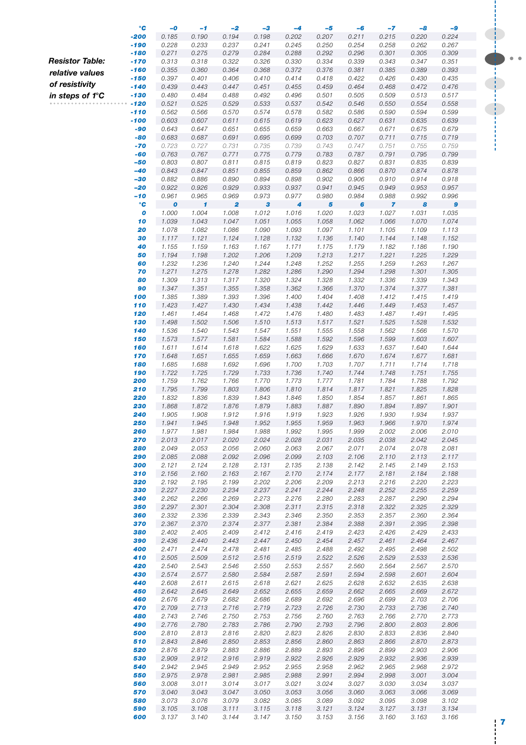|                        | °C               | $-o$             | $-1$         | $-2$                    | $-3$  | -4    | -5    | -6    | $-7$           | $-8$  | -9    |  |
|------------------------|------------------|------------------|--------------|-------------------------|-------|-------|-------|-------|----------------|-------|-------|--|
|                        | -200             | 0.185            | 0.190        | 0.194                   | 0.198 | 0.202 | 0.207 | 0.211 | 0.215          | 0.220 | 0.224 |  |
|                        | -190             | 0.228            | 0.233        | 0.237                   | 0.241 | 0.245 | 0.250 | 0.254 | 0.258          | 0.262 | 0.267 |  |
|                        | -180             | 0.271            | 0.275        | 0.279                   | 0.284 | 0.288 | 0.292 | 0.296 | 0.301          | 0.305 | 0.309 |  |
| <b>Resistor Table:</b> | -170             | 0.313            | 0.318        | 0.322                   | 0.326 | 0.330 | 0.334 | 0.339 | 0.343          | 0.347 | 0.351 |  |
|                        |                  |                  |              |                         |       |       |       |       |                |       |       |  |
| relative values        | $-160$           | 0.355            | 0.360        | 0.364                   | 0.368 | 0.372 | 0.376 | 0.381 | 0.385          | 0.389 | 0.393 |  |
| of resistivity         | -150             | 0.397            | 0.401        | 0.406                   | 0.410 | 0.414 | 0.418 | 0.422 | 0.426          | 0.430 | 0.435 |  |
|                        | -140             | 0.439            | 0.443        | 0.447                   | 0.451 | 0.455 | 0.459 | 0.464 | 0.468          | 0.472 | 0.476 |  |
| in steps of 1°C        | -130             | 0.480            | 0.484        | 0.488                   | 0.492 | 0.496 | 0.501 | 0.505 | 0.509          | 0.513 | 0.517 |  |
|                        | $-120$           | 0.521            | 0.525        | 0.529                   | 0.533 | 0.537 | 0.542 | 0.546 | 0.550          | 0.554 | 0.558 |  |
|                        | $-110$           | 0.562            | 0.566        | 0.570                   | 0.574 | 0.578 | 0.582 | 0.586 | 0.590          | 0.594 | 0.599 |  |
|                        | -100             | 0.603            | 0.607        | 0.611                   | 0.615 | 0.619 | 0.623 | 0.627 | 0.631          | 0.635 | 0.639 |  |
|                        | -90              | 0.643            | 0.647        | 0.651                   | 0.655 | 0.659 | 0.663 | 0.667 | 0.671          | 0.675 | 0.679 |  |
|                        | -80              | 0.683            | 0.687        | 0.691                   | 0.695 | 0.699 | 0.703 | 0.707 | 0.711          | 0.715 | 0.719 |  |
|                        | $-70$            | 0.723            | 0.727        | 0.731                   | 0.735 | 0.739 | 0.743 | 0.747 | 0.751          | 0.755 | 0.759 |  |
|                        | -60              | 0.763            | 0.767        | 0.771                   | 0.775 | 0.779 | 0.783 | 0.787 | 0.791          | 0.795 | 0.799 |  |
|                        | -50              | 0.803            | 0.807        | 0.811                   | 0.815 | 0.819 | 0.823 | 0.827 | 0.831          | 0.835 | 0.839 |  |
|                        |                  |                  |              |                         |       |       |       |       |                |       |       |  |
|                        | -40              | 0.843            | 0.847        | 0.851                   | 0.855 | 0.859 | 0.862 | 0.866 | 0.870          | 0.874 | 0.878 |  |
|                        | -30              | 0.882            | 0.886        | 0.890                   | 0.894 | 0.898 | 0.902 | 0.906 | 0.910          | 0.914 | 0.918 |  |
|                        | -20              | 0.922            | 0.926        | 0.929                   | 0.933 | 0.937 | 0.941 | 0.945 | 0.949          | 0.953 | 0.957 |  |
|                        | $-10$            | 0.961            | 0.965        | 0.969                   | 0.973 | 0.977 | 0.980 | 0.984 | 0.988          | 0.992 | 0.996 |  |
|                        | °€               | $\boldsymbol{o}$ | $\mathbf{I}$ | $\overline{\mathbf{2}}$ | 3     | 4     | 5     | 6     | $\overline{7}$ | 8     | 9     |  |
|                        | $\boldsymbol{o}$ | 1.000            | 1.004        | 1.008                   | 1.012 | 1.016 | 1.020 | 1.023 | 1.027          | 1.031 | 1.035 |  |
|                        | 10               | 1.039            | 1.043        | 1.047                   | 1.051 | 1.055 | 1.058 | 1.062 | 1.066          | 1.070 | 1.074 |  |
|                        | 20               | 1.078            | 1.082        | 1.086                   | 1.090 | 1.093 | 1.097 | 1.101 | 1.105          | 1.109 | 1.113 |  |
|                        | 30               | 1.117            | 1.121        | 1.124                   | 1.128 | 1.132 | 1.136 | 1.140 | 1.144          | 1.148 | 1.152 |  |
|                        | 40               | 1.155            | 1.159        | 1.163                   | 1.167 | 1.171 | 1.175 | 1.179 | 1.182          | 1.186 | 1.190 |  |
|                        | 50               | 1.194            | 1.198        | 1.202                   | 1.206 | 1.209 | 1.213 | 1.217 | 1.221          | 1.225 | 1.229 |  |
|                        | 60               | 1.232            | 1.236        | 1.240                   | 1.244 | 1.248 | 1.252 | 1.255 | 1.259          | 1.263 | 1.267 |  |
|                        | 70               | 1.271            | 1.275        |                         | 1.282 | 1.286 | 1.290 | 1.294 | 1.298          | 1.301 | 1.305 |  |
|                        |                  |                  |              | 1.278                   |       |       |       |       |                |       |       |  |
|                        | 80               | 1.309            | 1.313        | 1.317                   | 1.320 | 1.324 | 1.328 | 1.332 | 1.336          | 1.339 | 1.343 |  |
|                        | 90               | 1.347            | 1.351        | 1.355                   | 1.358 | 1.362 | 1.366 | 1.370 | 1.374          | 1.377 | 1.381 |  |
|                        | 100              | 1.385            | 1.389        | 1.393                   | 1.396 | 1.400 | 1.404 | 1.408 | 1.412          | 1.415 | 1.419 |  |
|                        | 110              | 1.423            | 1.427        | 1.430                   | 1.434 | 1.438 | 1.442 | 1.446 | 1.449          | 1.453 | 1.457 |  |
|                        | 120              | 1.461            | 1.464        | 1.468                   | 1.472 | 1.476 | 1.480 | 1.483 | 1.487          | 1.491 | 1.495 |  |
|                        | 130              | 1.498            | 1.502        | 1.506                   | 1.510 | 1.513 | 1.517 | 1.521 | 1.525          | 1.528 | 1.532 |  |
|                        | 140              | 1.536            | 1.540        | 1.543                   | 1.547 | 1.551 | 1.555 | 1.558 | 1.562          | 1.566 | 1.570 |  |
|                        | 150              | 1.573            | 1.577        | 1.581                   | 1.584 | 1.588 | 1.592 | 1.596 | 1.599          | 1.603 | 1.607 |  |
|                        | 160              | 1.611            | 1.614        | 1.618                   | 1.622 | 1.625 | 1.629 | 1.633 | 1.637          | 1.640 | 1.644 |  |
|                        | 170              | 1.648            | 1.651        | 1.655                   | 1.659 | 1.663 | 1.666 | 1.670 | 1.674          | 1.677 | 1.681 |  |
|                        | 180              | 1.685            | 1.688        | 1.692                   | 1.696 | 1.700 | 1.703 | 1.707 | 1.711          | 1.714 | 1.718 |  |
|                        | 190              | 1.722            | 1.725        | 1.729                   | 1.733 | 1.736 | 1.740 | 1.744 | 1.748          | 1.751 | 1.755 |  |
|                        | 200              | 1.759            | 1.762        | 1.766                   | 1.770 | 1.773 | 1.777 | 1.781 | 1.784          | 1.788 | 1.792 |  |
|                        |                  |                  |              |                         |       |       |       |       |                |       |       |  |
|                        | 210              | 1.795            | 1.799        | 1.803                   | 1.806 | 1.810 | 1.814 | 1.817 | 1.821          | 1.825 | 1.828 |  |
|                        | 220              | 1.832            | 1.836        | 1.839                   | 1.843 | 1.846 | 1.850 | 1.854 | 1.857          | 1.861 | 1.865 |  |
|                        | 230              | 1.868            | 1.872        | 1.876                   | 1.879 | 1.883 | 1.887 | 1.890 | 1.894          | 1.897 | 1.901 |  |
|                        | 240              | 1.905            | 1.908        | 1.912                   | 1.916 | 1.919 | 1.923 | 1.926 | 1.930          | 1.934 | 1.937 |  |
|                        | 250              | 1.941            | 1.945        | 1.948                   | 1.952 | 1.955 | 1.959 | 1.963 | 1.966          | 1.970 | 1.974 |  |
|                        | 260              | 1.977            | 1.981        | 1.984                   | 1.988 | 1.992 | 1.995 | 1.999 | 2.002          | 2.006 | 2.010 |  |
|                        | 270              | 2.013            | 2.017        | 2.020                   | 2.024 | 2.028 | 2.031 | 2.035 | 2.038          | 2.042 | 2.045 |  |
|                        | 280              | 2.049            | 2.053        | 2.056                   | 2.060 | 2.063 | 2.067 | 2.071 | 2.074          | 2.078 | 2.081 |  |
|                        | 290              | 2.085            | 2.088        | 2.092                   | 2.096 | 2.099 | 2.103 | 2.106 | 2.110          | 2.113 | 2.117 |  |
|                        | 300              | 2.121            | 2.124        | 2.128                   | 2.131 | 2.135 | 2.138 | 2.142 | 2.145          | 2.149 | 2.153 |  |
|                        | 310              | 2.156            | 2.160        | 2.163                   | 2.167 | 2.170 | 2.174 | 2.177 | 2.181          | 2.184 | 2.188 |  |
|                        | 320              | 2.192            | 2.195        | 2.199                   | 2.202 | 2.206 | 2.209 | 2.213 | 2.216          | 2.220 | 2.223 |  |
|                        | 330              | 2.227            | 2.230        | 2.234                   | 2.237 | 2.241 | 2.244 | 2.248 | 2.252          | 2.255 | 2.259 |  |
|                        | 340              | 2.262            | 2.266        | 2.269                   | 2.273 | 2.276 | 2.280 | 2.283 | 2.287          | 2.290 | 2.294 |  |
|                        | 350              | 2.297            | 2.301        | 2.304                   | 2.308 | 2.311 | 2.315 | 2.318 | 2.322          | 2.325 | 2.329 |  |
|                        | 360              | 2.332            | 2.336        | 2.339                   | 2.343 | 2.346 | 2.350 | 2.353 | 2.357          | 2.360 | 2.364 |  |
|                        | 370              | 2.367            | 2.370        |                         |       |       |       |       |                |       | 2.398 |  |
|                        |                  |                  |              | 2.374                   | 2.377 | 2.381 | 2.384 | 2.388 | 2.391          | 2.395 |       |  |
|                        | 380              | 2.402            | 2.405        | 2.409                   | 2.412 | 2.416 | 2.419 | 2.423 | 2.426          | 2.429 | 2.433 |  |
|                        | 390              | 2.436            | 2.440        | 2.443                   | 2.447 | 2.450 | 2.454 | 2.457 | 2.461          | 2.464 | 2.467 |  |
|                        | 400              | 2.471            | 2.474        | 2.478                   | 2.481 | 2.485 | 2.488 | 2.492 | 2.495          | 2.498 | 2.502 |  |
|                        | 410              | 2.505            | 2.509        | 2.512                   | 2.516 | 2.519 | 2.522 | 2.526 | 2.529          | 2.533 | 2.536 |  |
|                        | 420              | 2.540            | 2.543        | 2.546                   | 2.550 | 2.553 | 2.557 | 2.560 | 2.564          | 2.567 | 2.570 |  |
|                        | 430              | 2.574            | 2.577        | 2.580                   | 2.584 | 2.587 | 2.591 | 2.594 | 2.598          | 2.601 | 2.604 |  |
|                        | 440              | 2.608            | 2.611        | 2.615                   | 2.618 | 2.621 | 2.625 | 2.628 | 2.632          | 2.635 | 2.638 |  |
|                        | 450              | 2.642            | 2.645        | 2.649                   | 2.652 | 2.655 | 2.659 | 2.662 | 2.665          | 2.669 | 2.672 |  |
|                        | 460              | 2.676            | 2.679        | 2.682                   | 2.686 | 2.689 | 2.692 | 2.696 | 2.699          | 2.703 | 2.706 |  |
|                        | 470              | 2.709            | 2.713        | 2.716                   | 2.719 | 2.723 | 2.726 | 2.730 | 2.733          | 2.736 | 2.740 |  |
|                        | 480              | 2.743            | 2.746        | 2.750                   | 2.753 | 2.756 | 2.760 | 2.763 | 2.766          | 2.770 | 2.773 |  |
|                        | 490              | 2.776            | 2.780        |                         | 2.786 |       | 2.793 | 2.796 | 2.800          | 2.803 | 2.806 |  |
|                        |                  |                  |              | 2.783                   |       | 2.790 |       |       |                |       |       |  |
|                        | 500              | 2.810            | 2.813        | 2.816                   | 2.820 | 2.823 | 2.826 | 2.830 | 2.833          | 2.836 | 2.840 |  |
|                        | 510              | 2.843            | 2.846        | 2.850                   | 2.853 | 2.856 | 2.860 | 2.863 | 2.866          | 2.870 | 2.873 |  |
|                        | 520              | 2.876            | 2.879        | 2.883                   | 2.886 | 2.889 | 2.893 | 2.896 | 2.899          | 2.903 | 2.906 |  |
|                        | 530              | 2.909            | 2.912        | 2.916                   | 2.919 | 2.922 | 2.926 | 2.929 | 2.932          | 2.936 | 2.939 |  |
|                        | 540              | 2.942            | 2.945        | 2.949                   | 2.952 | 2.955 | 2.958 | 2.962 | 2.965          | 2.968 | 2.972 |  |
|                        | 550              | 2.975            | 2.978        | 2.981                   | 2.985 | 2.988 | 2.991 | 2.994 | 2.998          | 3.001 | 3.004 |  |
|                        | 560              | 3.008            | 3.011        | 3.014                   | 3.017 | 3.021 | 3.024 | 3.027 | 3.030          | 3.034 | 3.037 |  |
|                        | 570              | 3.040            | 3.043        | 3.047                   | 3.050 | 3.053 | 3.056 | 3.060 | 3.063          | 3.066 | 3.069 |  |
|                        | 580              | 3.073            | 3.076        | 3.079                   | 3.082 | 3.085 | 3.089 | 3.092 | 3.095          | 3.098 | 3.102 |  |
|                        | 590              | 3.105            | 3.108        | 3.111                   | 3.115 | 3.118 | 3.121 | 3.124 | 3.127          | 3.131 | 3.134 |  |
|                        | 600              | 3.137            | 3.140        | 3.144                   | 3.147 | 3.150 | 3.153 | 3.156 | 3.160          | 3.163 | 3.166 |  |
|                        |                  |                  |              |                         |       |       |       |       |                |       |       |  |